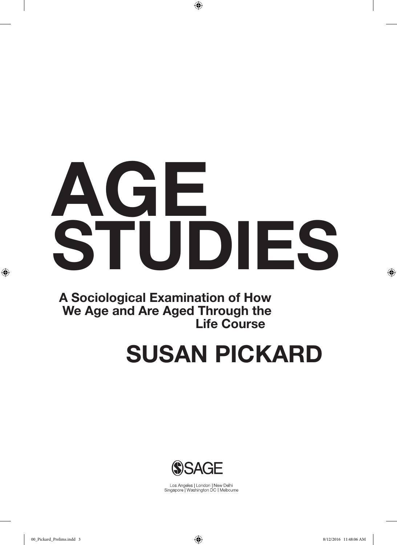$\bigoplus$ 

A Sociological Examination of How We Age and Are Aged Through the Life Course

# SUSAN PICKARD



Los Angeles | London | New Delhi Singapore | Washington DC | Melbourne

⊕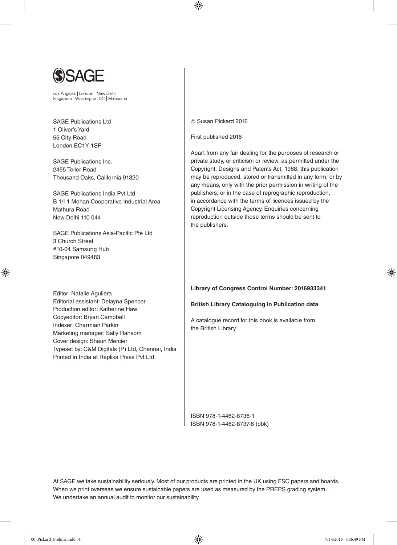

Los Angeles | London | New Delhi Singapore | Washington DC | Melbourne

SAGE Publications Ltd 1 Oliver's Yard 55 City Road London EC1Y 1SP

SAGE Publications Inc. 2455 Teller Road Thousand Oaks, California 91320

SAGE Publications India Pvt Ltd B 1/I 1 Mohan Cooperative Industrial Area Mathura Road New Delhi 110 044

SAGE Publications Asia-Pacific Pte Ltd 3 Church Street #10-04 Samsung Hub Singapore 049483

Editorial assistant: Delayna Spencer Production editor: Katherine Haw Copyeditor: Bryan Campbell Indexer: Charmian Parkin Marketing manager: Sally Ransom Cover design: Shaun Mercier

Typeset by: C&M Digitals (P) Ltd, Chennai, India Printed in India at Replika Press Pvt Ltd

Editor: Natalie Aguilera

Susan Pickard 2016

 $\textcolor{red}{\bigoplus}$ 

First published 2016

Apart from any fair dealing for the purposes of research or private study, or criticism or review, as permitted under the Copyright, Designs and Patents Act, 1988, this publication may be reproduced, stored or transmitted in any form, or by any means, only with the prior permission in writing of the publishers, or in the case of reprographic reproduction, in accordance with the terms of licences issued by the Copyright Licensing Agency. Enquiries concerning reproduction outside those terms should be sent to the publishers.

# **Library of Congress Control Number: 2016933341**

#### **British Library Cataloguing in Publication data**

A catalogue record for this book is available from the British Library

ISBN 978-1-4462-8737-8 (pbk)

At SAGE we take sustainability seriously. Most of our products are printed in the UK using FSC papers and boards. When we print overseas we ensure sustainable papers are used as measured by the PREPS grading system. We undertake an annual audit to monitor our sustainability.

⊕

ISBN 978-1-4462-8736-1

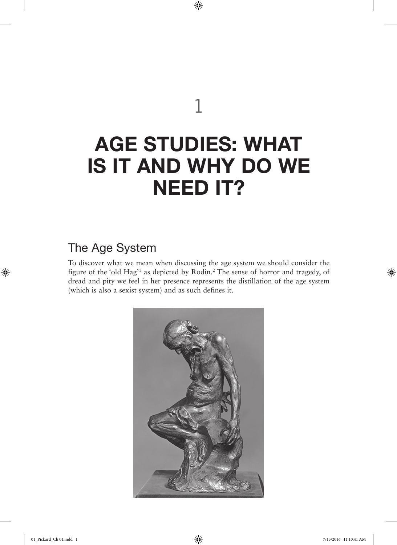# 1

 $\bigoplus$ 

# AGE STUDIES: WHAT IS IT AND WHY DO WE NEED IT?

# The Age System

To discover what we mean when discussing the age system we should consider the figure of the 'old Hag'1 as depicted by Rodin.2 The sense of horror and tragedy, of dread and pity we feel in her presence represents the distillation of the age system (which is also a sexist system) and as such defines it.



⊕

 $\bigoplus$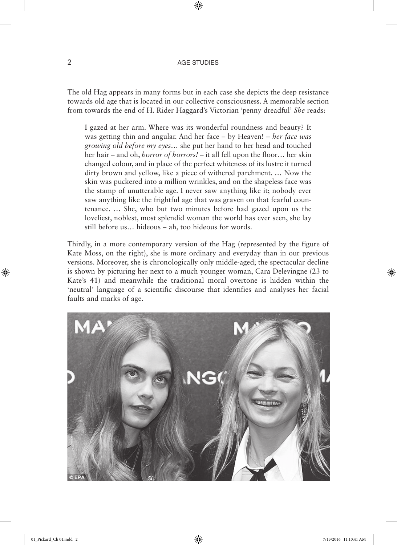⊕

The old Hag appears in many forms but in each case she depicts the deep resistance towards old age that is located in our collective consciousness. A memorable section from towards the end of H. Rider Haggard's Victorian 'penny dreadful' *She* reads:

I gazed at her arm. Where was its wonderful roundness and beauty? It was getting thin and angular. And her face – by Heaven! – *her face was growing old before my eyes…* she put her hand to her head and touched her hair – and oh, *horror of horrors!* – it all fell upon the floor… her skin changed colour, and in place of the perfect whiteness of its lustre it turned dirty brown and yellow, like a piece of withered parchment. … Now the skin was puckered into a million wrinkles, and on the shapeless face was the stamp of unutterable age. I never saw anything like it; nobody ever saw anything like the frightful age that was graven on that fearful countenance. … She, who but two minutes before had gazed upon us the loveliest, noblest, most splendid woman the world has ever seen, she lay still before us… hideous – ah, too hideous for words.

Thirdly, in a more contemporary version of the Hag (represented by the figure of Kate Moss, on the right), she is more ordinary and everyday than in our previous versions. Moreover, she is chronologically only middle-aged; the spectacular decline is shown by picturing her next to a much younger woman, Cara Delevingne (23 to Kate's 41) and meanwhile the traditional moral overtone is hidden within the 'neutral' language of a scientific discourse that identifies and analyses her facial faults and marks of age.



♠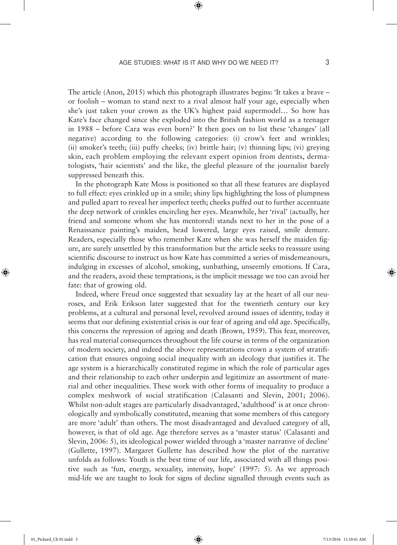The article (Anon, 2015) which this photograph illustrates begins: 'It takes a brave – or foolish – woman to stand next to a rival almost half your age, especially when she's just taken your crown as the UK's highest paid supermodel… So how has Kate's face changed since she exploded into the British fashion world as a teenager in 1988 – before Cara was even born?' It then goes on to list these 'changes' (all negative) according to the following categories: (i) crow's feet and wrinkles; (ii) smoker's teeth; (iii) puffy cheeks; (iv) brittle hair; (v) thinning lips; (vi) greying skin, each problem employing the relevant expert opinion from dentists, dermatologists, 'hair scientists' and the like, the gleeful pleasure of the journalist barely suppressed beneath this.

In the photograph Kate Moss is positioned so that all these features are displayed to full effect: eyes crinkled up in a smile; shiny lips highlighting the loss of plumpness and pulled apart to reveal her imperfect teeth; cheeks puffed out to further accentuate the deep network of crinkles encircling her eyes. Meanwhile, her 'rival' (actually, her friend and someone whom she has mentored) stands next to her in the pose of a Renaissance painting's maiden, head lowered, large eyes raised, smile demure. Readers, especially those who remember Kate when she was herself the maiden figure, are surely unsettled by this transformation but the article seeks to reassure using scientific discourse to instruct us how Kate has committed a series of misdemeanours, indulging in excesses of alcohol, smoking, sunbathing, unseemly emotions. If Cara, and the readers, avoid these temptations, is the implicit message we too can avoid her fate: that of growing old.

Indeed, where Freud once suggested that sexuality lay at the heart of all our neuroses, and Erik Erikson later suggested that for the twentieth century our key problems, at a cultural and personal level, revolved around issues of identity, today it seems that our defining existential crisis is our fear of ageing and old age. Specifically, this concerns the repression of ageing and death (Brown, 1959). This fear, moreover, has real material consequences throughout the life course in terms of the organization of modern society, and indeed the above representations crown a system of stratification that ensures ongoing social inequality with an ideology that justifies it. The age system is a hierarchically constituted regime in which the role of particular ages and their relationship to each other underpin and legitimize an assortment of material and other inequalities. These work with other forms of inequality to produce a complex meshwork of social stratification (Calasanti and Slevin, 2001; 2006). Whilst non-adult stages are particularly disadvantaged, 'adulthood' is at once chronologically and symbolically constituted, meaning that some members of this category are more 'adult' than others. The most disadvantaged and devalued category of all, however, is that of old age. Age therefore serves as a 'master status' (Calasanti and Slevin, 2006: 5), its ideological power wielded through a 'master narrative of decline' (Gullette, 1997). Margaret Gullette has described how the plot of the narrative unfolds as follows: Youth is the best time of our life, associated with all things positive such as 'fun, energy, sexuality, intensity, hope' (1997: 5). As we approach mid-life we are taught to look for signs of decline signalled through events such as

♠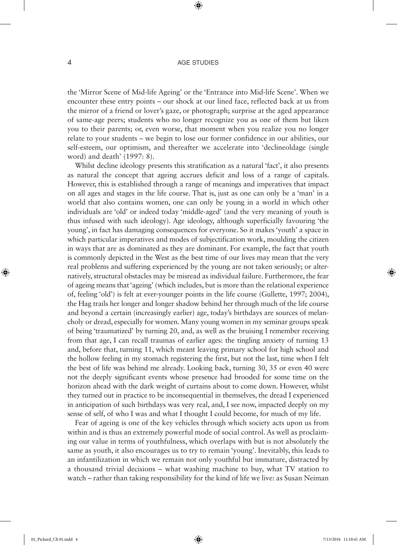$\bigoplus$ 

the 'Mirror Scene of Mid-life Ageing' or the 'Entrance into Mid-life Scene'. When we encounter these entry points – our shock at our lined face, reflected back at us from the mirror of a friend or lover's gaze, or photograph; surprise at the aged appearance of same-age peers; students who no longer recognize you as one of them but liken you to their parents; or, even worse, that moment when you realize you no longer relate to your students – we begin to lose our former confidence in our abilities, our self-esteem, our optimism, and thereafter we accelerate into 'declineoldage (single word) and death' (1997: 8).

Whilst decline ideology presents this stratification as a natural 'fact', it also presents as natural the concept that ageing accrues deficit and loss of a range of capitals. However, this is established through a range of meanings and imperatives that impact on all ages and stages in the life course. That is, just as one can only be a 'man' in a world that also contains women, one can only be young in a world in which other individuals are 'old' or indeed today 'middle-aged' (and the very meaning of youth is thus infused with such ideology). Age ideology, although superficially favouring 'the young', in fact has damaging consequences for everyone. So it makes 'youth' a space in which particular imperatives and modes of subjectification work, moulding the citizen in ways that are as dominated as they are dominant. For example, the fact that youth is commonly depicted in the West as the best time of our lives may mean that the very real problems and suffering experienced by the young are not taken seriously; or alternatively, structural obstacles may be misread as individual failure. Furthermore, the fear of ageing means that 'ageing' (which includes, but is more than the relational experience of, feeling 'old') is felt at ever-younger points in the life course (Gullette, 1997; 2004), the Hag trails her longer and longer shadow behind her through much of the life course and beyond a certain (increasingly earlier) age, today's birthdays are sources of melancholy or dread, especially for women. Many young women in my seminar groups speak of being 'traumatized' by turning 20, and, as well as the bruising I remember receiving from that age, I can recall traumas of earlier ages: the tingling anxiety of turning 13 and, before that, turning 11, which meant leaving primary school for high school and the hollow feeling in my stomach registering the first, but not the last, time when I felt the best of life was behind me already. Looking back, turning 30, 35 or even 40 were not the deeply significant events whose presence had brooded for some time on the horizon ahead with the dark weight of curtains about to come down. However, whilst they turned out in practice to be inconsequential in themselves, the dread I experienced in anticipation of such birthdays was very real, and, I see now, impacted deeply on my sense of self, of who I was and what I thought I could become, for much of my life.

Fear of ageing is one of the key vehicles through which society acts upon us from within and is thus an extremely powerful mode of social control. As well as proclaiming our value in terms of youthfulness, which overlaps with but is not absolutely the same as youth, it also encourages us to try to remain 'young'. Inevitably, this leads to an infantilization in which we remain not only youthful but immature, distracted by a thousand trivial decisions – what washing machine to buy, what TV station to watch – rather than taking responsibility for the kind of life we live: as Susan Neiman

⊕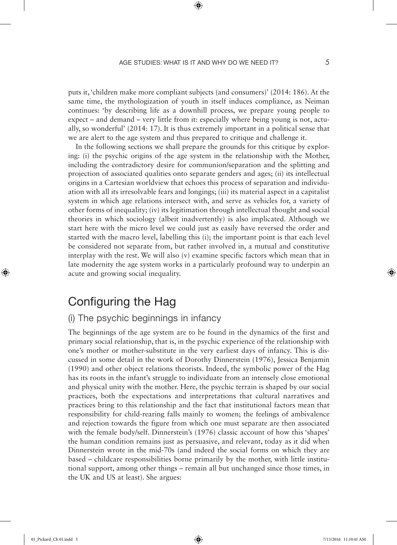puts it, 'children make more compliant subjects (and consumers)' (2014: 186). At the same time, the mythologization of youth in itself induces compliance, as Neiman continues: 'by describing life as a downhill process, we prepare young people to expect – and demand – very little from it: especially where being young is not, actually, so wonderful' (2014: 17). It is thus extremely important in a political sense that we are alert to the age system and thus prepared to critique and challenge it.

In the following sections we shall prepare the grounds for this critique by exploring: (i) the psychic origins of the age system in the relationship with the Mother, including the contradictory desire for communion/separation and the splitting and projection of associated qualities onto separate genders and ages; (ii) its intellectual origins in a Cartesian worldview that echoes this process of separation and individuation with all its irresolvable fears and longings; (iii) its material aspect in a capitalist system in which age relations intersect with, and serve as vehicles for, a variety of other forms of inequality; (iv) its legitimation through intellectual thought and social theories in which sociology (albeit inadvertently) is also implicated. Although we start here with the micro level we could just as easily have reversed the order and started with the macro level, labelling this (i); the important point is that each level be considered not separate from, but rather involved in, a mutual and constitutive interplay with the rest. We will also (v) examine specific factors which mean that in late modernity the age system works in a particularly profound way to underpin an acute and growing social inequality.

# Configuring the Hag

# (i) The psychic beginnings in infancy

The beginnings of the age system are to be found in the dynamics of the first and primary social relationship, that is, in the psychic experience of the relationship with one's mother or mother-substitute in the very earliest days of infancy. This is discussed in some detail in the work of Dorothy Dinnerstein (1976), Jessica Benjamin (1990) and other object relations theorists. Indeed, the symbolic power of the Hag has its roots in the infant's struggle to individuate from an intensely close emotional and physical unity with the mother. Here, the psychic terrain is shaped by our social practices, both the expectations and interpretations that cultural narratives and practices bring to this relationship and the fact that institutional factors mean that responsibility for child-rearing falls mainly to women; the feelings of ambivalence and rejection towards the figure from which one must separate are then associated with the female body/self. Dinnerstein's (1976) classic account of how this 'shapes' the human condition remains just as persuasive, and relevant, today as it did when Dinnerstein wrote in the mid-70s (and indeed the social forms on which they are based – childcare responsibilities borne primarily by the mother, with little institutional support, among other things – remain all but unchanged since those times, in the UK and US at least). She argues:

♠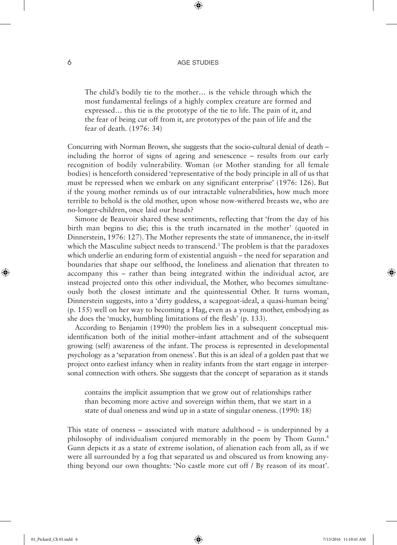$\textcircled{\scriptsize{*}}$ 

The child's bodily tie to the mother… is the vehicle through which the most fundamental feelings of a highly complex creature are formed and expressed… this tie is the prototype of the tie to life. The pain of it, and the fear of being cut off from it, are prototypes of the pain of life and the fear of death. (1976: 34)

Concurring with Norman Brown, she suggests that the socio-cultural denial of death – including the horror of signs of ageing and senescence – results from our early recognition of bodily vulnerability. Woman (or Mother standing for all female bodies) is henceforth considered 'representative of the body principle in all of us that must be repressed when we embark on any significant enterprise' (1976: 126). But if the young mother reminds us of our intractable vulnerabilities, how much more terrible to behold is the old mother, upon whose now-withered breasts we, who are no-longer-children, once laid our heads?

Simone de Beauvoir shared these sentiments, reflecting that 'from the day of his birth man begins to die; this is the truth incarnated in the mother' (quoted in Dinnerstein, 1976: 127). The Mother represents the state of immanence, the in-itself which the Masculine subject needs to transcend.<sup>3</sup> The problem is that the paradoxes which underlie an enduring form of existential anguish – the need for separation and boundaries that shape our selfhood, the loneliness and alienation that threaten to accompany this – rather than being integrated within the individual actor, are instead projected onto this other individual, the Mother, who becomes simultaneously both the closest intimate and the quintessential Other. It turns woman, Dinnerstein suggests, into a 'dirty goddess, a scapegoat-ideal, a quasi-human being' (p. 155) well on her way to becoming a Hag, even as a young mother, embodying as she does the 'mucky, humbling limitations of the flesh' (p. 133).

According to Benjamin (1990) the problem lies in a subsequent conceptual misidentification both of the initial mother–infant attachment and of the subsequent growing (self) awareness of the infant. The process is represented in developmental psychology as a 'separation from oneness'. But this is an ideal of a golden past that we project onto earliest infancy when in reality infants from the start engage in interpersonal connection with others. She suggests that the concept of separation as it stands

contains the implicit assumption that we grow out of relationships rather than becoming more active and sovereign within them, that we start in a state of dual oneness and wind up in a state of singular oneness. (1990: 18)

This state of oneness – associated with mature adulthood – is underpinned by a philosophy of individualism conjured memorably in the poem by Thom Gunn.4 Gunn depicts it as a state of extreme isolation, of alienation each from all, as if we were all surrounded by a fog that separated us and obscured us from knowing anything beyond our own thoughts: 'No castle more cut off / By reason of its moat'.

⊕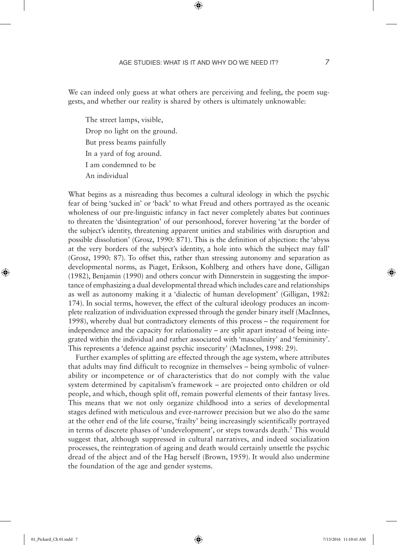We can indeed only guess at what others are perceiving and feeling, the poem suggests, and whether our reality is shared by others is ultimately unknowable:

The street lamps, visible, Drop no light on the ground. But press beams painfully In a yard of fog around. I am condemned to be An individual

What begins as a misreading thus becomes a cultural ideology in which the psychic fear of being 'sucked in' or 'back' to what Freud and others portrayed as the oceanic wholeness of our pre-linguistic infancy in fact never completely abates but continues to threaten the 'disintegration' of our personhood, forever hovering 'at the border of the subject's identity, threatening apparent unities and stabilities with disruption and possible dissolution' (Grosz, 1990: 871). This is the definition of abjection: the 'abyss at the very borders of the subject's identity, a hole into which the subject may fall' (Grosz, 1990: 87). To offset this, rather than stressing autonomy and separation as developmental norms, as Piaget, Erikson, Kohlberg and others have done, Gilligan (1982), Benjamin (1990) and others concur with Dinnerstein in suggesting the importance of emphasizing a dual developmental thread which includes care and relationships as well as autonomy making it a 'dialectic of human development' (Gilligan, 1982: 174). In social terms, however, the effect of the cultural ideology produces an incomplete realization of individuation expressed through the gender binary itself (MacInnes, 1998), whereby dual but contradictory elements of this process – the requirement for independence and the capacity for relationality – are split apart instead of being integrated within the individual and rather associated with 'masculinity' and 'femininity'. This represents a 'defence against psychic insecurity' (MacInnes, 1998: 29).

Further examples of splitting are effected through the age system, where attributes that adults may find difficult to recognize in themselves – being symbolic of vulnerability or incompetence or of characteristics that do not comply with the value system determined by capitalism's framework – are projected onto children or old people, and which, though split off, remain powerful elements of their fantasy lives. This means that we not only organize childhood into a series of developmental stages defined with meticulous and ever-narrower precision but we also do the same at the other end of the life course, 'frailty' being increasingly scientifically portrayed in terms of discrete phases of 'undevelopment', or steps towards death.<sup>5</sup> This would suggest that, although suppressed in cultural narratives, and indeed socialization processes, the reintegration of ageing and death would certainly unsettle the psychic dread of the abject and of the Hag herself (Brown, 1959). It would also undermine the foundation of the age and gender systems.

⊕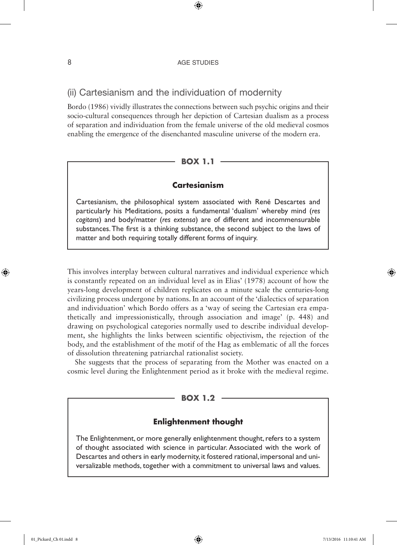$\textcircled{\scriptsize{*}}$ 

# (ii) Cartesianism and the individuation of modernity

Bordo (1986) vividly illustrates the connections between such psychic origins and their socio-cultural consequences through her depiction of Cartesian dualism as a process of separation and individuation from the female universe of the old medieval cosmos enabling the emergence of the disenchanted masculine universe of the modern era.

#### **BOX 1.1**

# **Cartesianism**

Cartesianism, the philosophical system associated with René Descartes and particularly his Meditations, posits a fundamental 'dualism' whereby mind (*res cogitans*) and body/matter (*res extensa*) are of different and incommensurable substances. The first is a thinking substance, the second subject to the laws of matter and both requiring totally different forms of inquiry.

This involves interplay between cultural narratives and individual experience which is constantly repeated on an individual level as in Elias' (1978) account of how the years-long development of children replicates on a minute scale the centuries-long civilizing process undergone by nations. In an account of the 'dialectics of separation and individuation' which Bordo offers as a 'way of seeing the Cartesian era empathetically and impressionistically, through association and image' (p. 448) and drawing on psychological categories normally used to describe individual development, she highlights the links between scientific objectivism, the rejection of the body, and the establishment of the motif of the Hag as emblematic of all the forces of dissolution threatening patriarchal rationalist society.

She suggests that the process of separating from the Mother was enacted on a cosmic level during the Enlightenment period as it broke with the medieval regime.

#### **BOX 1.2**

# **Enlightenment thought**

The Enlightenment, or more generally enlightenment thought, refers to a system of thought associated with science in particular. Associated with the work of Descartes and others in early modernity, it fostered rational, impersonal and universalizable methods, together with a commitment to universal laws and values.

♠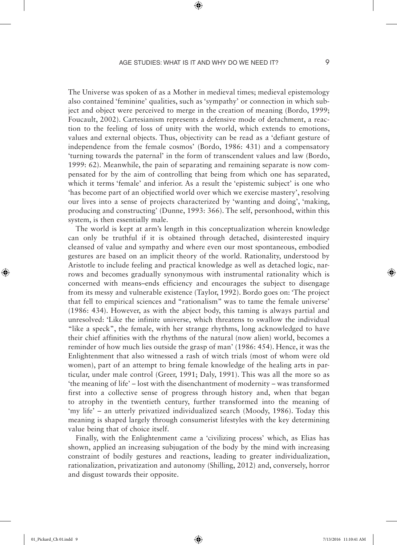## AGE STUDIES: WHAT IS IT AND WHY DO WE NEED IT?

 $\textcircled{\scriptsize{*}}$ 

The Universe was spoken of as a Mother in medieval times; medieval epistemology also contained 'feminine' qualities, such as 'sympathy' or connection in which subject and object were perceived to merge in the creation of meaning (Bordo, 1999; Foucault, 2002). Cartesianism represents a defensive mode of detachment, a reaction to the feeling of loss of unity with the world, which extends to emotions, values and external objects. Thus, objectivity can be read as a 'defiant gesture of independence from the female cosmos' (Bordo, 1986: 431) and a compensatory 'turning towards the paternal' in the form of transcendent values and law (Bordo, 1999: 62). Meanwhile, the pain of separating and remaining separate is now compensated for by the aim of controlling that being from which one has separated, which it terms 'female' and inferior. As a result the 'epistemic subject' is one who 'has become part of an objectified world over which we exercise mastery', resolving our lives into a sense of projects characterized by 'wanting and doing', 'making, producing and constructing' (Dunne, 1993: 366). The self, personhood, within this system, is then essentially male.

The world is kept at arm's length in this conceptualization wherein knowledge can only be truthful if it is obtained through detached, disinterested inquiry cleansed of value and sympathy and where even our most spontaneous, embodied gestures are based on an implicit theory of the world. Rationality, understood by Aristotle to include feeling and practical knowledge as well as detached logic, narrows and becomes gradually synonymous with instrumental rationality which is concerned with means–ends efficiency and encourages the subject to disengage from its messy and vulnerable existence (Taylor, 1992). Bordo goes on: 'The project that fell to empirical sciences and "rationalism" was to tame the female universe' (1986: 434). However, as with the abject body, this taming is always partial and unresolved: 'Like the infinite universe, which threatens to swallow the individual "like a speck", the female, with her strange rhythms, long acknowledged to have their chief affinities with the rhythms of the natural (now alien) world, becomes a reminder of how much lies outside the grasp of man' (1986: 454). Hence, it was the Enlightenment that also witnessed a rash of witch trials (most of whom were old women), part of an attempt to bring female knowledge of the healing arts in particular, under male control (Greer, 1991; Daly, 1991). This was all the more so as 'the meaning of life' – lost with the disenchantment of modernity – was transformed first into a collective sense of progress through history and, when that began to atrophy in the twentieth century, further transformed into the meaning of 'my life' – an utterly privatized individualized search (Moody, 1986). Today this meaning is shaped largely through consumerist lifestyles with the key determining value being that of choice itself.

Finally, with the Enlightenment came a 'civilizing process' which, as Elias has shown, applied an increasing subjugation of the body by the mind with increasing constraint of bodily gestures and reactions, leading to greater individualization, rationalization, privatization and autonomy (Shilling, 2012) and, conversely, horror and disgust towards their opposite.

⊕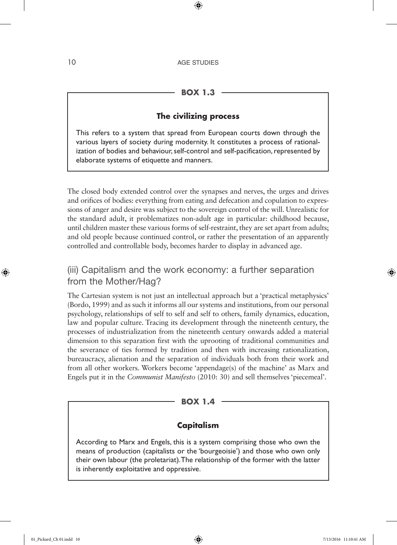$\textcircled{\scriptsize{*}}$ 

# **BOX 1.3**

# **The civilizing process**

This refers to a system that spread from European courts down through the various layers of society during modernity. It constitutes a process of rationalization of bodies and behaviour, self-control and self-pacification, represented by elaborate systems of etiquette and manners.

The closed body extended control over the synapses and nerves, the urges and drives and orifices of bodies: everything from eating and defecation and copulation to expressions of anger and desire was subject to the sovereign control of the will. Unrealistic for the standard adult, it problematizes non-adult age in particular: childhood because, until children master these various forms of self-restraint, they are set apart from adults; and old people because continued control, or rather the presentation of an apparently controlled and controllable body, becomes harder to display in advanced age.

# (iii) Capitalism and the work economy: a further separation from the Mother/Hag?

The Cartesian system is not just an intellectual approach but a 'practical metaphysics' (Bordo, 1999) and as such it informs all our systems and institutions, from our personal psychology, relationships of self to self and self to others, family dynamics, education, law and popular culture. Tracing its development through the nineteenth century, the processes of industrialization from the nineteenth century onwards added a material dimension to this separation first with the uprooting of traditional communities and the severance of ties formed by tradition and then with increasing rationalization, bureaucracy, alienation and the separation of individuals both from their work and from all other workers. Workers become 'appendage(s) of the machine' as Marx and Engels put it in the *Communist Manifesto* (2010: 30) and sell themselves 'piecemeal'.

# **BOX 1.4**

# **Capitalism**

According to Marx and Engels, this is a system comprising those who own the means of production (capitalists or the 'bourgeoisie') and those who own only their own labour (the proletariat). The relationship of the former with the latter is inherently exploitative and oppressive.

⊕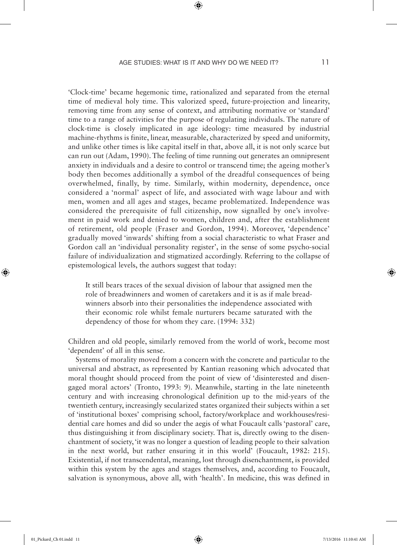AGE STUDIES: WHAT IS IT AND WHY DO WE NEED IT? 11

 $\textcircled{\scriptsize{*}}$ 

'Clock-time' became hegemonic time, rationalized and separated from the eternal time of medieval holy time. This valorized speed, future-projection and linearity, removing time from any sense of context, and attributing normative or 'standard' time to a range of activities for the purpose of regulating individuals. The nature of clock-time is closely implicated in age ideology: time measured by industrial machine-rhythms is finite, linear, measurable, characterized by speed and uniformity, and unlike other times is like capital itself in that, above all, it is not only scarce but can run out (Adam, 1990). The feeling of time running out generates an omnipresent anxiety in individuals and a desire to control or transcend time; the ageing mother's body then becomes additionally a symbol of the dreadful consequences of being overwhelmed, finally, by time. Similarly, within modernity, dependence, once considered a 'normal' aspect of life, and associated with wage labour and with men, women and all ages and stages, became problematized. Independence was considered the prerequisite of full citizenship, now signalled by one's involvement in paid work and denied to women, children and, after the establishment of retirement, old people (Fraser and Gordon, 1994). Moreover, 'dependence' gradually moved 'inwards' shifting from a social characteristic to what Fraser and Gordon call an 'individual personality register', in the sense of some psycho-social failure of individualization and stigmatized accordingly. Referring to the collapse of epistemological levels, the authors suggest that today:

It still bears traces of the sexual division of labour that assigned men the role of breadwinners and women of caretakers and it is as if male breadwinners absorb into their personalities the independence associated with their economic role whilst female nurturers became saturated with the dependency of those for whom they care. (1994: 332)

Children and old people, similarly removed from the world of work, become most 'dependent' of all in this sense.

Systems of morality moved from a concern with the concrete and particular to the universal and abstract, as represented by Kantian reasoning which advocated that moral thought should proceed from the point of view of 'disinterested and disengaged moral actors' (Tronto, 1993: 9). Meanwhile, starting in the late nineteenth century and with increasing chronological definition up to the mid-years of the twentieth century, increasingly secularized states organized their subjects within a set of 'institutional boxes' comprising school, factory/workplace and workhouses/residential care homes and did so under the aegis of what Foucault calls 'pastoral' care, thus distinguishing it from disciplinary society. That is, directly owing to the disenchantment of society, 'it was no longer a question of leading people to their salvation in the next world, but rather ensuring it in this world' (Foucault, 1982: 215). Existential, if not transcendental, meaning, lost through disenchantment, is provided within this system by the ages and stages themselves, and, according to Foucault, salvation is synonymous, above all, with 'health'. In medicine, this was defined in

⊕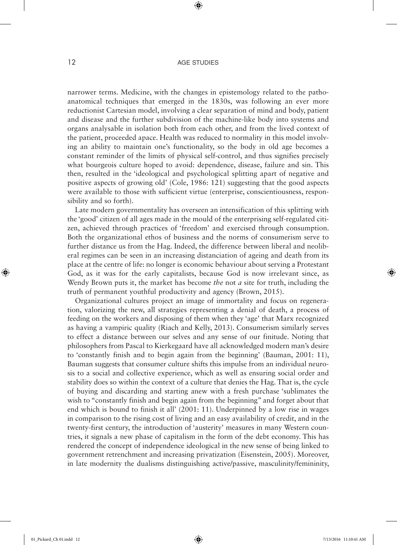$\textcircled{\scriptsize{*}}$ 

narrower terms. Medicine, with the changes in epistemology related to the pathoanatomical techniques that emerged in the 1830s, was following an ever more reductionist Cartesian model, involving a clear separation of mind and body, patient and disease and the further subdivision of the machine-like body into systems and organs analysable in isolation both from each other, and from the lived context of the patient, proceeded apace. Health was reduced to normality in this model involving an ability to maintain one's functionality, so the body in old age becomes a constant reminder of the limits of physical self-control, and thus signifies precisely what bourgeois culture hoped to avoid: dependence, disease, failure and sin. This then, resulted in the 'ideological and psychological splitting apart of negative and positive aspects of growing old' (Cole, 1986: 121) suggesting that the good aspects were available to those with sufficient virtue (enterprise, conscientiousness, responsibility and so forth).

Late modern governmentality has overseen an intensification of this splitting with the 'good' citizen of all ages made in the mould of the enterprising self-regulated citizen, achieved through practices of 'freedom' and exercised through consumption. Both the organizational ethos of business and the norms of consumerism serve to further distance us from the Hag. Indeed, the difference between liberal and neoliberal regimes can be seen in an increasing distanciation of ageing and death from its place at the centre of life: no longer is economic behaviour about serving a Protestant God, as it was for the early capitalists, because God is now irrelevant since, as Wendy Brown puts it, the market has become *the* not *a* site for truth, including the truth of permanent youthful productivity and agency (Brown, 2015).

Organizational cultures project an image of immortality and focus on regeneration, valorizing the new, all strategies representing a denial of death, a process of feeding on the workers and disposing of them when they 'age' that Marx recognized as having a vampiric quality (Riach and Kelly, 2013). Consumerism similarly serves to effect a distance between our selves and any sense of our finitude. Noting that philosophers from Pascal to Kierkegaard have all acknowledged modern man's desire to 'constantly finish and to begin again from the beginning' (Bauman, 2001: 11), Bauman suggests that consumer culture shifts this impulse from an individual neurosis to a social and collective experience, which as well as ensuring social order and stability does so within the context of a culture that denies the Hag. That is, the cycle of buying and discarding and starting anew with a fresh purchase 'sublimates the wish to "constantly finish and begin again from the beginning" and forget about that end which is bound to finish it all' (2001: 11). Underpinned by a low rise in wages in comparison to the rising cost of living and an easy availability of credit, and in the twenty-first century, the introduction of 'austerity' measures in many Western countries, it signals a new phase of capitalism in the form of the debt economy. This has rendered the concept of independence ideological in the new sense of being linked to government retrenchment and increasing privatization (Eisenstein, 2005). Moreover, in late modernity the dualisms distinguishing active/passive, masculinity/femininity,

⊕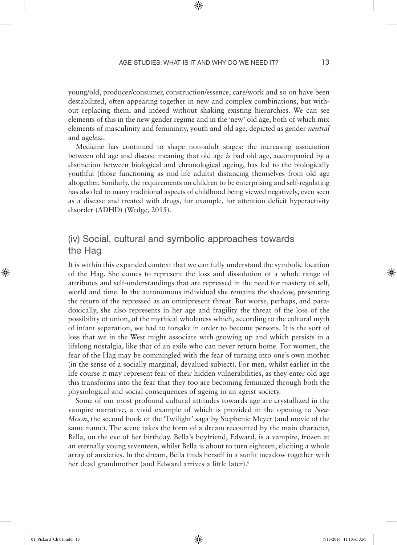young/old, producer/consumer, construction/essence, care/work and so on have been destabilized, often appearing together in new and complex combinations, but without replacing them, and indeed without shaking existing hierarchies. We can see elements of this in the new gender regime and in the 'new' old age, both of which mix elements of masculinity and femininity, youth and old age, depicted as gender-*neutral* and age*less*.

Medicine has continued to shape non-adult stages: the increasing association between old age and disease meaning that old age *is* bad old age, accompanied by a distinction between biological and chronological ageing, has led to the biologically youthful (those functioning as mid-life adults) distancing themselves from old age altogether. Similarly, the requirements on children to be enterprising and self-regulating has also led to many traditional aspects of childhood being viewed negatively, even seen as a disease and treated with drugs, for example, for attention deficit hyperactivity disorder (ADHD) (Wedge, 2015).

# (iv) Social, cultural and symbolic approaches towards the Hag

It is within this expanded context that we can fully understand the symbolic location of the Hag. She comes to represent the loss and dissolution of a whole range of attributes and self-understandings that are repressed in the need for mastery of self, world and time. In the autonomous individual she remains the shadow, presenting the return of the repressed as an omnipresent threat. But worse, perhaps, and paradoxically, she also represents in her age and fragility the threat of the loss of the possibility of union, of the mythical wholeness which, according to the cultural myth of infant separation, we had to forsake in order to become persons. It is the sort of loss that we in the West might associate with growing up and which persists in a lifelong nostalgia, like that of an exile who can never return home. For women, the fear of the Hag may be commingled with the fear of turning into one's own mother (in the sense of a socially marginal, devalued subject). For men, whilst earlier in the life course it may represent fear of their hidden vulnerabilities, as they enter old age this transforms into the fear that they too are becoming feminized through both the physiological and social consequences of ageing in an ageist society.

Some of our most profound cultural attitudes towards age are crystallized in the vampire narrative, a vivid example of which is provided in the opening to *New Moon*, the second book of the 'Twilight' saga by Stephenie Meyer (and movie of the same name). The scene takes the form of a dream recounted by the main character, Bella, on the eve of her birthday. Bella's boyfriend, Edward, is a vampire, frozen at an eternally young seventeen, whilst Bella is about to turn eighteen, eliciting a whole array of anxieties. In the dream, Bella finds herself in a sunlit meadow together with her dead grandmother (and Edward arrives a little later).<sup>6</sup>

♠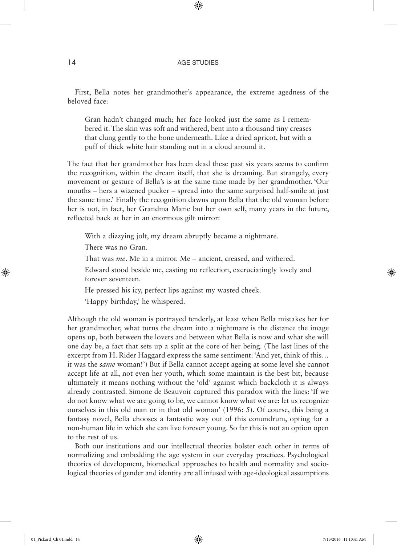$\textcircled{\scriptsize{*}}$ 

First, Bella notes her grandmother's appearance, the extreme agedness of the beloved face:

Gran hadn't changed much; her face looked just the same as I remembered it. The skin was soft and withered, bent into a thousand tiny creases that clung gently to the bone underneath. Like a dried apricot, but with a puff of thick white hair standing out in a cloud around it.

The fact that her grandmother has been dead these past six years seems to confirm the recognition, within the dream itself, that she is dreaming. But strangely, every movement or gesture of Bella's is at the same time made by her grandmother. 'Our mouths – hers a wizened pucker – spread into the same surprised half-smile at just the same time.' Finally the recognition dawns upon Bella that the old woman before her is not, in fact, her Grandma Marie but her own self, many years in the future, reflected back at her in an enormous gilt mirror:

With a dizzying jolt, my dream abruptly became a nightmare.

There was no Gran.

That was *me*. Me in a mirror. Me – ancient, creased, and withered.

Edward stood beside me, casting no reflection, excruciatingly lovely and forever seventeen.

He pressed his icy, perfect lips against my wasted cheek.

'Happy birthday,' he whispered.

Although the old woman is portrayed tenderly, at least when Bella mistakes her for her grandmother, what turns the dream into a nightmare is the distance the image opens up, both between the lovers and between what Bella is now and what she will one day be, a fact that sets up a split at the core of her being. (The last lines of the excerpt from H. Rider Haggard express the same sentiment: 'And yet, think of this… it was the *same* woman!') But if Bella cannot accept ageing at some level she cannot accept life at all, not even her youth, which some maintain is the best bit, because ultimately it means nothing without the 'old' against which backcloth it is always already contrasted. Simone de Beauvoir captured this paradox with the lines: 'If we do not know what we are going to be, we cannot know what we are: let us recognize ourselves in this old man or in that old woman' (1996: 5). Of course, this being a fantasy novel, Bella chooses a fantastic way out of this conundrum, opting for a non-human life in which she can live forever young. So far this is not an option open to the rest of us.

Both our institutions and our intellectual theories bolster each other in terms of normalizing and embedding the age system in our everyday practices. Psychological theories of development, biomedical approaches to health and normality and sociological theories of gender and identity are all infused with age-ideological assumptions

♠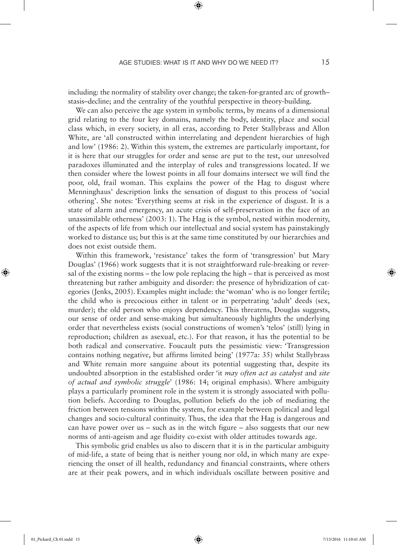including: the normality of stability over change; the taken-for-granted arc of growth– stasis–decline; and the centrality of the youthful perspective in theory-building.

We can also perceive the age system in symbolic terms, by means of a dimensional grid relating to the four key domains, namely the body, identity, place and social class which, in every society, in all eras, according to Peter Stallybrass and Allon White, are 'all constructed within interrelating and dependent hierarchies of high and low' (1986: 2). Within this system, the extremes are particularly important, for it is here that our struggles for order and sense are put to the test, our unresolved paradoxes illuminated and the interplay of rules and transgressions located. If we then consider where the lowest points in all four domains intersect we will find the poor, old, frail woman. This explains the power of the Hag to disgust where Menninghaus' description links the sensation of disgust to this process of 'social othering'. She notes: 'Everything seems at risk in the experience of disgust. It is a state of alarm and emergency, an acute crisis of self-preservation in the face of an unassimilable otherness' (2003: 1). The Hag is the symbol, nested within modernity, of the aspects of life from which our intellectual and social system has painstakingly worked to distance us; but this is at the same time constituted by our hierarchies and does not exist outside them.

Within this framework, 'resistance' takes the form of 'transgression' but Mary Douglas' (1966) work suggests that it is not straightforward rule-breaking or reversal of the existing norms – the low pole replacing the high – that is perceived as most threatening but rather ambiguity and disorder: the presence of hybridization of categories (Jenks, 2005). Examples might include: the 'woman' who is no longer fertile; the child who is precocious either in talent or in perpetrating 'adult' deeds (sex, murder); the old person who enjoys dependency. This threatens, Douglas suggests, our sense of order and sense-making but simultaneously highlights the underlying order that nevertheless exists (social constructions of women's 'telos' (still) lying in reproduction; children as asexual, etc.). For that reason, it has the potential to be both radical and conservative. Foucault puts the pessimistic view: 'Transgression contains nothing negative, but affirms limited being' (1977a: 35) whilst Stallybrass and White remain more sanguine about its potential suggesting that, despite its undoubted absorption in the established order 'it *may often act as catalyst* and *site of actual and symbolic struggle*' (1986: 14; original emphasis). Where ambiguity plays a particularly prominent role in the system it is strongly associated with pollution beliefs. According to Douglas, pollution beliefs do the job of mediating the friction between tensions within the system, for example between political and legal changes and socio-cultural continuity. Thus, the idea that the Hag is dangerous and can have power over us – such as in the witch figure – also suggests that our new norms of anti-ageism and age fluidity co-exist with older attitudes towards age.

This symbolic grid enables us also to discern that it is in the particular ambiguity of mid-life, a state of being that is neither young nor old, in which many are experiencing the onset of ill health, redundancy and financial constraints, where others are at their peak powers, and in which individuals oscillate between positive and

⊕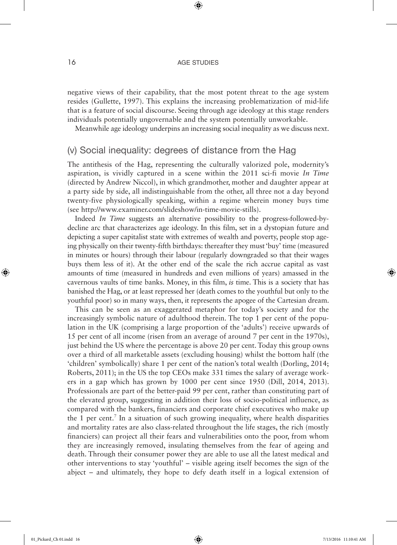⊕

negative views of their capability, that the most potent threat to the age system resides (Gullette, 1997). This explains the increasing problematization of mid-life that is a feature of social discourse. Seeing through age ideology at this stage renders individuals potentially ungovernable and the system potentially unworkable.

Meanwhile age ideology underpins an increasing social inequality as we discuss next.

# (v) Social inequality: degrees of distance from the Hag

The antithesis of the Hag, representing the culturally valorized pole, modernity's aspiration, is vividly captured in a scene within the 2011 sci-fi movie *In Time* (directed by Andrew Niccol), in which grandmother, mother and daughter appear at a party side by side, all indistinguishable from the other, all three not a day beyond twenty-five physiologically speaking, within a regime wherein money buys time (see http://www.examiner.com/slideshow/in-time-movie-stills).

Indeed *In Time* suggests an alternative possibility to the progress-followed-bydecline arc that characterizes age ideology. In this film, set in a dystopian future and depicting a super capitalist state with extremes of wealth and poverty, people stop ageing physically on their twenty-fifth birthdays: thereafter they must 'buy' time (measured in minutes or hours) through their labour (regularly downgraded so that their wages buys them less of it). At the other end of the scale the rich accrue capital as vast amounts of time (measured in hundreds and even millions of years) amassed in the cavernous vaults of time banks. Money, in this film, *is* time. This is a society that has banished the Hag, or at least repressed her (death comes to the youthful but only to the youthful poor) so in many ways, then, it represents the apogee of the Cartesian dream.

This can be seen as an exaggerated metaphor for today's society and for the increasingly symbolic nature of adulthood therein. The top 1 per cent of the population in the UK (comprising a large proportion of the 'adults') receive upwards of 15 per cent of all income (risen from an average of around 7 per cent in the 1970s), just behind the US where the percentage is above 20 per cent. Today this group owns over a third of all marketable assets (excluding housing) whilst the bottom half (the 'children' symbolically) share 1 per cent of the nation's total wealth (Dorling, 2014; Roberts, 2011); in the US the top CEOs make 331 times the salary of average workers in a gap which has grown by 1000 per cent since 1950 (Dill, 2014, 2013). Professionals are part of the better-paid 99 per cent, rather than constituting part of the elevated group, suggesting in addition their loss of socio-political influence, as compared with the bankers, financiers and corporate chief executives who make up the 1 per cent.<sup>7</sup> In a situation of such growing inequality, where health disparities and mortality rates are also class-related throughout the life stages, the rich (mostly financiers) can project all their fears and vulnerabilities onto the poor, from whom they are increasingly removed, insulating themselves from the fear of ageing and death. Through their consumer power they are able to use all the latest medical and other interventions to stay 'youthful' – visible ageing itself becomes the sign of the abject – and ultimately, they hope to defy death itself in a logical extension of

⊕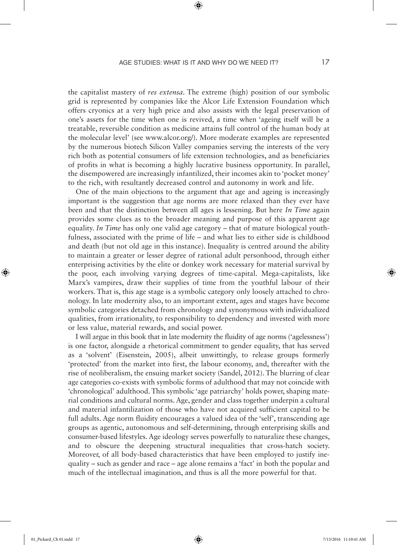the capitalist mastery of *res extensa*. The extreme (high) position of our symbolic grid is represented by companies like the Alcor Life Extension Foundation which offers cryonics at a very high price and also assists with the legal preservation of one's assets for the time when one is revived, a time when 'ageing itself will be a treatable, reversible condition as medicine attains full control of the human body at the molecular level' (see www.alcor.org/). More moderate examples are represented by the numerous biotech Silicon Valley companies serving the interests of the very rich both as potential consumers of life extension technologies, and as beneficiaries of profits in what is becoming a highly lucrative business opportunity. In parallel, the disempowered are increasingly infantilized, their incomes akin to 'pocket money' to the rich, with resultantly decreased control and autonomy in work and life.

One of the main objections to the argument that age and ageing is increasingly important is the suggestion that age norms are more relaxed than they ever have been and that the distinction between all ages is lessening. But here *In Time* again provides some clues as to the broader meaning and purpose of this apparent age equality. *In Time* has only one valid age category – that of mature biological youthfulness, associated with the prime of life – and what lies to either side is childhood and death (but not old age in this instance). Inequality is centred around the ability to maintain a greater or lesser degree of rational adult personhood, through either enterprising activities by the elite or donkey work necessary for material survival by the poor, each involving varying degrees of time-capital. Mega-capitalists, like Marx's vampires, draw their supplies of time from the youthful labour of their workers. That is, this age stage is a symbolic category only loosely attached to chronology. In late modernity also, to an important extent, ages and stages have become symbolic categories detached from chronology and synonymous with individualized qualities, from irrationality, to responsibility to dependency and invested with more or less value, material rewards, and social power.

I will argue in this book that in late modernity the fluidity of age norms ('agelessness') is one factor, alongside a rhetorical commitment to gender equality, that has served as a 'solvent' (Eisenstein, 2005), albeit unwittingly, to release groups formerly 'protected' from the market into first, the labour economy, and, thereafter with the rise of neoliberalism, the ensuing market society (Sandel, 2012). The blurring of clear age categories co-exists with symbolic forms of adulthood that may not coincide with 'chronological' adulthood. This symbolic 'age patriarchy' holds power, shaping material conditions and cultural norms. Age, gender and class together underpin a cultural and material infantilization of those who have not acquired sufficient capital to be full adults. Age norm fluidity encourages a valued idea of the 'self', transcending age groups as agentic, autonomous and self-determining, through enterprising skills and consumer-based lifestyles. Age ideology serves powerfully to naturalize these changes, and to obscure the deepening structural inequalities that cross-hatch society. Moreover, of all body-based characteristics that have been employed to justify inequality – such as gender and race – age alone remains a 'fact' in both the popular and much of the intellectual imagination, and thus is all the more powerful for that.

♠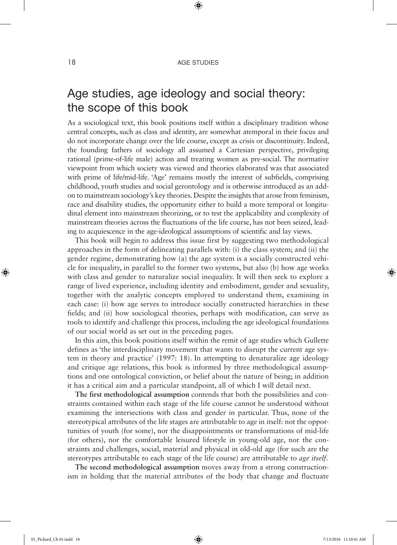# Age studies, age ideology and social theory: the scope of this book

As a sociological text, this book positions itself within a disciplinary tradition whose central concepts, such as class and identity, are somewhat atemporal in their focus and do not incorporate change over the life course, except as crisis or discontinuity. Indeed, the founding fathers of sociology all assumed a Cartesian perspective, privileging rational (prime-of-life male) action and treating women as pre-social. The normative viewpoint from which society was viewed and theories elaborated was that associated with prime of life/mid-life. 'Age' remains mostly the interest of subfields, comprising childhood, youth studies and social gerontology and is otherwise introduced as an addon to mainstream sociology's key theories. Despite the insights that arose from feminism, race and disability studies, the opportunity either to build a more temporal or longitudinal element into mainstream theorizing, or to test the applicability and complexity of mainstream theories across the fluctuations of the life course, has not been seized, leading to acquiescence in the age-ideological assumptions of scientific and lay views.

This book will begin to address this issue first by suggesting two methodological approaches in the form of delineating parallels with: (i) the class system; and (ii) the gender regime, demonstrating how (a) the age system is a socially constructed vehicle for inequality, in parallel to the former two systems, but also (b) how age works with class and gender to naturalize social inequality. It will then seek to explore a range of lived experience, including identity and embodiment, gender and sexuality, together with the analytic concepts employed to understand them, examining in each case: (i) how age serves to introduce socially constructed hierarchies in these fields; and (ii) how sociological theories, perhaps with modification, can serve as tools to identify and challenge this process, including the age ideological foundations of our social world as set out in the preceding pages.

In this aim, this book positions itself within the remit of age studies which Gullette defines as 'the interdisciplinary movement that wants to disrupt the current age system in theory and practice' (1997: 18). In attempting to denaturalize age ideology and critique age relations, this book is informed by three methodological assumptions and one ontological conviction, or belief about the nature of being; in addition it has a critical aim and a particular standpoint, all of which I will detail next.

**The first methodological assumption** contends that both the possibilities and constraints contained within each stage of the life course cannot be understood without examining the intersections with class and gender in particular. Thus, none of the stereotypical attributes of the life stages are attributable to age in itself: not the opportunities of youth (for some), nor the disappointments or transformations of mid-life (for others), nor the comfortable leisured lifestyle in young-old age, nor the constraints and challenges, social, material and physical in old-old age (for such are the stereotypes attributable to each stage of the life course) are attributable to *age itself*.

**The second methodological assumption** moves away from a strong constructionism in holding that the material attributes of the body that change and fluctuate

⊕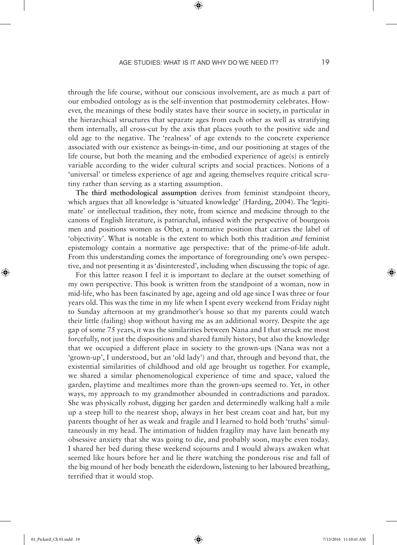through the life course, without our conscious involvement, are as much a part of our embodied ontology as is the self-invention that postmodernity celebrates. However, the meanings of these bodily states have their source in society, in particular in the hierarchical structures that separate ages from each other as well as stratifying them internally, all cross-cut by the axis that places youth to the positive side and old age to the negative. The 'realness' of age extends to the concrete experience associated with our existence as beings-in-time, and our positioning at stages of the life course, but both the meaning and the embodied experience of age(s) is entirely variable according to the wider cultural scripts and social practices. Notions of a 'universal' or timeless experience of age and ageing themselves require critical scrutiny rather than serving as a starting assumption.

**The third methodological assumption** derives from feminist standpoint theory, which argues that all knowledge is 'situated knowledge' (Harding, 2004). The 'legitimate' or intellectual tradition, they note, from science and medicine through to the canons of English literature, is patriarchal, infused with the perspective of bourgeois men and positions women as Other, a normative position that carries the label of 'objectivity'. What is notable is the extent to which both this tradition *and* feminist epistemology contain a normative age perspective: that of the prime-of-life adult. From this understanding comes the importance of foregrounding one's own perspective, and not presenting it as 'disinterested', including when discussing the topic of age.

For this latter reason I feel it is important to declare at the outset something of my own perspective. This book is written from the standpoint of a woman, now in mid-life, who has been fascinated by age, ageing and old age since I was three or four years old. This was the time in my life when I spent every weekend from Friday night to Sunday afternoon at my grandmother's house so that my parents could watch their little (failing) shop without having me as an additional worry. Despite the age gap of some 75 years, it was the similarities between Nana and I that struck me most forcefully, not just the dispositions and shared family history, but also the knowledge that we occupied a different place in society to the grown-ups (Nana was not a 'grown-up', I understood, but an 'old lady') and that, through and beyond that, the existential similarities of childhood and old age brought us together. For example, we shared a similar phenomenological experience of time and space, valued the garden, playtime and mealtimes more than the grown-ups seemed to. Yet, in other ways, my approach to my grandmother abounded in contradictions and paradox. She was physically robust, digging her garden and determinedly walking half a mile up a steep hill to the nearest shop, always in her best cream coat and hat, but my parents thought of her as weak and fragile and I learned to hold both 'truths' simultaneously in my head. The intimation of hidden fragility may have lain beneath my obsessive anxiety that she was going to die, and probably soon, maybe even today. I shared her bed during these weekend sojourns and I would always awaken what seemed like hours before her and lie there watching the ponderous rise and fall of the big mound of her body beneath the eiderdown, listening to her laboured breathing, terrified that it would stop.

♠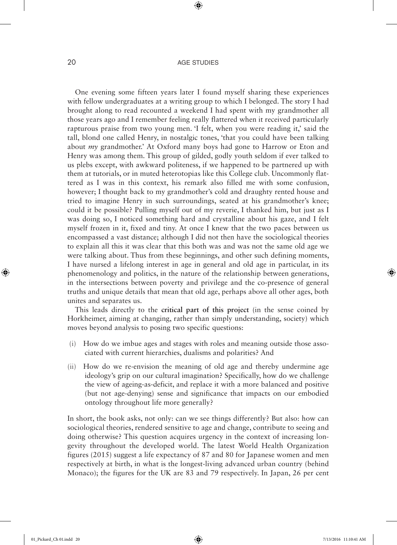⊕

One evening some fifteen years later I found myself sharing these experiences with fellow undergraduates at a writing group to which I belonged. The story I had brought along to read recounted a weekend I had spent with my grandmother all those years ago and I remember feeling really flattered when it received particularly rapturous praise from two young men. 'I felt, when you were reading it,' said the tall, blond one called Henry, in nostalgic tones, 'that you could have been talking about *my* grandmother.' At Oxford many boys had gone to Harrow or Eton and Henry was among them. This group of gilded, godly youth seldom if ever talked to us plebs except, with awkward politeness, if we happened to be partnered up with them at tutorials, or in muted heterotopias like this College club. Uncommonly flattered as I was in this context, his remark also filled me with some confusion, however; I thought back to my grandmother's cold and draughty rented house and tried to imagine Henry in such surroundings, seated at his grandmother's knee; could it be possible? Pulling myself out of my reverie, I thanked him, but just as I was doing so, I noticed something hard and crystalline about his gaze, and I felt myself frozen in it, fixed and tiny. At once I knew that the two paces between us encompassed a vast distance; although I did not then have the sociological theories to explain all this it was clear that this both was and was not the same old age we were talking about. Thus from these beginnings, and other such defining moments, I have nursed a lifelong interest in age in general and old age in particular, in its phenomenology and politics, in the nature of the relationship between generations, in the intersections between poverty and privilege and the co-presence of general truths and unique details that mean that old age, perhaps above all other ages, both unites and separates us.

This leads directly to the **critical part of this project** (in the sense coined by Horkheimer, aiming at changing, rather than simply understanding, society) which moves beyond analysis to posing two specific questions:

- (i) How do we imbue ages and stages with roles and meaning outside those associated with current hierarchies, dualisms and polarities? And
- (ii) How do we re-envision the meaning of old age and thereby undermine age ideology's grip on our cultural imagination? Specifically, how do we challenge the view of ageing-as-deficit, and replace it with a more balanced and positive (but not age-denying) sense and significance that impacts on our embodied ontology throughout life more generally?

In short, the book asks, not only: can we see things differently? But also: how can sociological theories, rendered sensitive to age and change, contribute to seeing and doing otherwise? This question acquires urgency in the context of increasing longevity throughout the developed world. The latest World Health Organization figures (2015) suggest a life expectancy of 87 and 80 for Japanese women and men respectively at birth, in what is the longest-living advanced urban country (behind Monaco); the figures for the UK are 83 and 79 respectively. In Japan, 26 per cent

⊕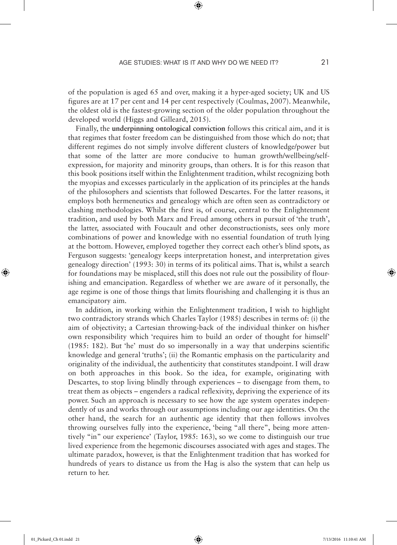of the population is aged 65 and over, making it a hyper-aged society; UK and US figures are at 17 per cent and 14 per cent respectively (Coulmas, 2007). Meanwhile, the oldest old is the fastest-growing section of the older population throughout the developed world (Higgs and Gilleard, 2015).

Finally, the **underpinning ontological conviction** follows this critical aim, and it is that regimes that foster freedom can be distinguished from those which do not; that different regimes do not simply involve different clusters of knowledge/power but that some of the latter are more conducive to human growth/wellbeing/selfexpression, for majority and minority groups, than others. It is for this reason that this book positions itself within the Enlightenment tradition, whilst recognizing both the myopias and excesses particularly in the application of its principles at the hands of the philosophers and scientists that followed Descartes. For the latter reasons, it employs both hermeneutics and genealogy which are often seen as contradictory or clashing methodologies. Whilst the first is, of course, central to the Enlightenment tradition, and used by both Marx and Freud among others in pursuit of 'the truth', the latter, associated with Foucault and other deconstructionists, sees only more combinations of power and knowledge with no essential foundation of truth lying at the bottom. However, employed together they correct each other's blind spots, as Ferguson suggests: 'genealogy keeps interpretation honest, and interpretation gives genealogy direction' (1993: 30) in terms of its political aims. That is, whilst a search for foundations may be misplaced, still this does not rule out the possibility of flourishing and emancipation. Regardless of whether we are aware of it personally, the age regime is one of those things that limits flourishing and challenging it is thus an emancipatory aim.

In addition, in working within the Enlightenment tradition, I wish to highlight two contradictory strands which Charles Taylor (1985) describes in terms of: (i) the aim of objectivity; a Cartesian throwing-back of the individual thinker on his/her own responsibility which 'requires him to build an order of thought for himself' (1985: 182). But 'he' must do so impersonally in a way that underpins scientific knowledge and general 'truths'; (ii) the Romantic emphasis on the particularity and originality of the individual, the authenticity that constitutes standpoint. I will draw on both approaches in this book. So the idea, for example, originating with Descartes, to stop living blindly through experiences – to disengage from them, to treat them as objects – engenders a radical reflexivity, depriving the experience of its power. Such an approach is necessary to see how the age system operates independently of us and works through our assumptions including our age identities. On the other hand, the search for an authentic age identity that then follows involves throwing ourselves fully into the experience, 'being "all there", being more attentively "in" our experience' (Taylor, 1985: 163), so we come to distinguish our true lived experience from the hegemonic discourses associated with ages and stages. The ultimate paradox, however, is that the Enlightenment tradition that has worked for hundreds of years to distance us from the Hag is also the system that can help us return to her.

⊕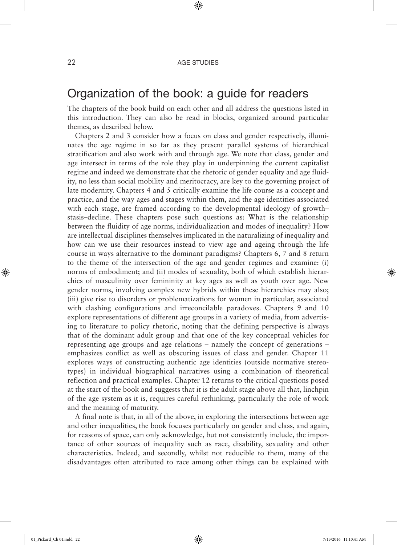# Organization of the book: a guide for readers

The chapters of the book build on each other and all address the questions listed in this introduction. They can also be read in blocks, organized around particular themes, as described below.

Chapters 2 and 3 consider how a focus on class and gender respectively, illuminates the age regime in so far as they present parallel systems of hierarchical stratification and also work with and through age. We note that class, gender and age intersect in terms of the role they play in underpinning the current capitalist regime and indeed we demonstrate that the rhetoric of gender equality and age fluidity, no less than social mobility and meritocracy, are key to the governing project of late modernity. Chapters 4 and 5 critically examine the life course as a concept and practice, and the way ages and stages within them, and the age identities associated with each stage, are framed according to the developmental ideology of growth– stasis–decline. These chapters pose such questions as: What is the relationship between the fluidity of age norms, individualization and modes of inequality? How are intellectual disciplines themselves implicated in the naturalizing of inequality and how can we use their resources instead to view age and ageing through the life course in ways alternative to the dominant paradigms? Chapters 6, 7 and 8 return to the theme of the intersection of the age and gender regimes and examine: (i) norms of embodiment; and (ii) modes of sexuality, both of which establish hierarchies of masculinity over femininity at key ages as well as youth over age. New gender norms, involving complex new hybrids within these hierarchies may also; (iii) give rise to disorders or problematizations for women in particular, associated with clashing configurations and irreconcilable paradoxes. Chapters 9 and 10 explore representations of different age groups in a variety of media, from advertising to literature to policy rhetoric, noting that the defining perspective is always that of the dominant adult group and that one of the key conceptual vehicles for representing age groups and age relations – namely the concept of generations – emphasizes conflict as well as obscuring issues of class and gender. Chapter 11 explores ways of constructing authentic age identities (outside normative stereotypes) in individual biographical narratives using a combination of theoretical reflection and practical examples. Chapter 12 returns to the critical questions posed at the start of the book and suggests that it is the adult stage above all that, linchpin of the age system as it is, requires careful rethinking, particularly the role of work and the meaning of maturity.

A final note is that, in all of the above, in exploring the intersections between age and other inequalities, the book focuses particularly on gender and class, and again, for reasons of space, can only acknowledge, but not consistently include, the importance of other sources of inequality such as race, disability, sexuality and other characteristics. Indeed, and secondly, whilst not reducible to them, many of the disadvantages often attributed to race among other things can be explained with

⊕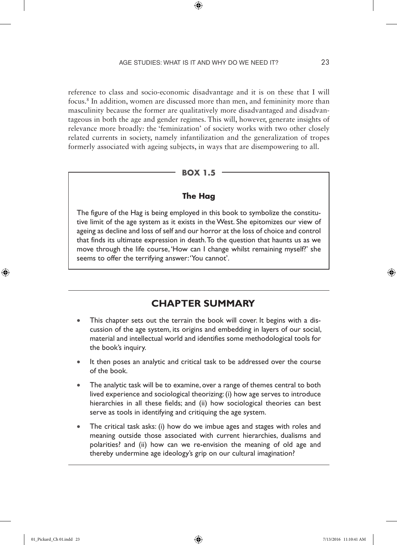reference to class and socio-economic disadvantage and it is on these that I will focus.8 In addition, women are discussed more than men, and femininity more than masculinity because the former are qualitatively more disadvantaged and disadvantageous in both the age and gender regimes. This will, however, generate insights of relevance more broadly: the 'feminization' of society works with two other closely related currents in society, namely infantilization and the generalization of tropes formerly associated with ageing subjects, in ways that are disempowering to all.

## **BOX 1.5**

# **The Hag**

The figure of the Hag is being employed in this book to symbolize the constitutive limit of the age system as it exists in the West. She epitomizes our view of ageing as decline and loss of self and our horror at the loss of choice and control that finds its ultimate expression in death. To the question that haunts us as we move through the life course, 'How can I change whilst remaining myself?' she seems to offer the terrifying answer: 'You cannot'.

# **CHAPTER SUMMARY**

- This chapter sets out the terrain the book will cover. It begins with a discussion of the age system, its origins and embedding in layers of our social, material and intellectual world and identifies some methodological tools for the book's inquiry.
- It then poses an analytic and critical task to be addressed over the course of the book.
- The analytic task will be to examine, over a range of themes central to both lived experience and sociological theorizing: (i) how age serves to introduce hierarchies in all these fields; and (ii) how sociological theories can best serve as tools in identifying and critiquing the age system.
- The critical task asks: (i) how do we imbue ages and stages with roles and meaning outside those associated with current hierarchies, dualisms and polarities? and (ii) how can we re-envision the meaning of old age and thereby undermine age ideology's grip on our cultural imagination?

⊕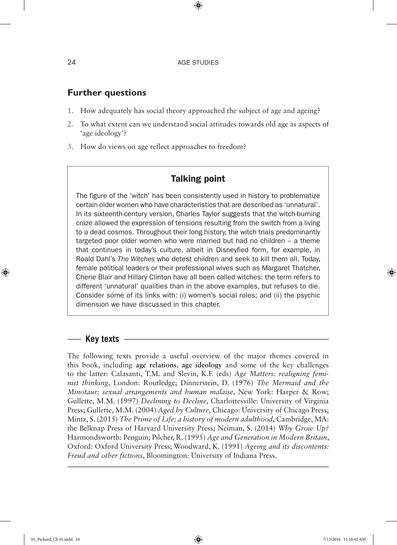# **Further questions**

- 1. How adequately has social theory approached the subject of age and ageing?
- 2. To what extent can we understand social attitudes towards old age as aspects of 'age ideology'?
- 3. How do views on age reflect approaches to freedom?

# Talking point

The figure of the 'witch' has been consistently used in history to problematize certain older women who have characteristics that are described as 'unnatural'. In its sixteenth-century version, Charles Taylor suggests that the witch-burning craze allowed the expression of tensions resulting from the switch from a living to a dead cosmos. Throughout their long history, the witch trials predominantly targeted poor older women who were married but had no children – a theme that continues in today's culture, albeit in Disneyfied form, for example, in Roald Dahl's *The Witches* who detest children and seek to kill them all. Today, female political leaders or their professional wives such as Margaret Thatcher, Cherie Blair and Hillary Clinton have all been called witches: the term refers to different 'unnatural' qualities than in the above examples, but refuses to die. Consider some of its links with: (i) women's social roles; and (ii) the psychic dimension we have discussed in this chapter.

#### **Key texts**

The following texts provide a useful overview of the major themes covered in this book, including **age relations**, **age ideology** and some of the key challenges to the latter: Calasanti, T.M. and Slevin, K.F. (eds) *Age Matters: realigning feminist thinking*, London: Routledge; Dinnerstein, D. (1976) *The Mermaid and the Minotaur: sexual arrangements and human malaise*, New York: Harper & Row; Gullette, M.M. (1997) *Declining to Decline*, Charlottesville: University of Virginia Press; Gullette, M.M. (2004) *Aged by Culture*, Chicago: University of Chicago Press; Mintz, S. (2015) *The Prime of Life: a history of modern adulthood*, Cambridge, MA: the Belknap Press of Harvard University Press; Neiman, S. (2014) *Why Grow Up?* Harmondsworth: Penguin; Pilcher, R. (1995) *Age and Generation in Modern Britain*, Oxford: Oxford University Press; Woodward, K. (1991) *Ageing and its discontents: Freud and other fictions*, Bloomington: University of Indiana Press.

⊕